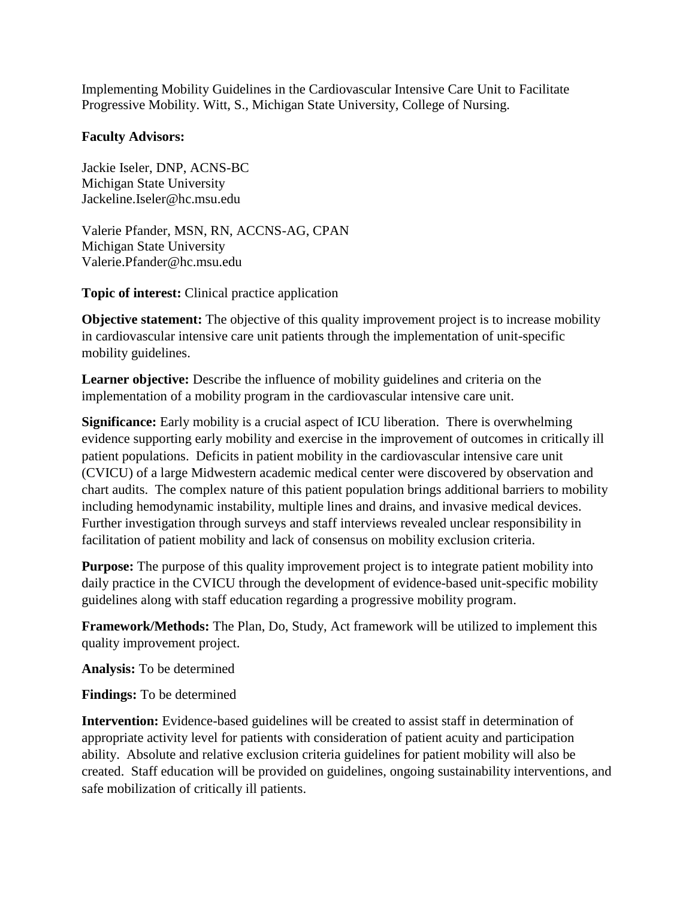Implementing Mobility Guidelines in the Cardiovascular Intensive Care Unit to Facilitate Progressive Mobility. Witt, S., Michigan State University, College of Nursing.

## **Faculty Advisors:**

Jackie Iseler, DNP, ACNS-BC Michigan State University [Jackeline.Iseler@hc.msu.edu](mailto:Jackeline.Iseler@hc.msu.edu)

Valerie Pfander, MSN, RN, ACCNS-AG, CPAN Michigan State University Valerie.Pfander@hc.msu.edu

**Topic of interest:** Clinical practice application

**Objective statement:** The objective of this quality improvement project is to increase mobility in cardiovascular intensive care unit patients through the implementation of unit-specific mobility guidelines.

**Learner objective:** Describe the influence of mobility guidelines and criteria on the implementation of a mobility program in the cardiovascular intensive care unit.

**Significance:** Early mobility is a crucial aspect of ICU liberation. There is overwhelming evidence supporting early mobility and exercise in the improvement of outcomes in critically ill patient populations. Deficits in patient mobility in the cardiovascular intensive care unit (CVICU) of a large Midwestern academic medical center were discovered by observation and chart audits. The complex nature of this patient population brings additional barriers to mobility including hemodynamic instability, multiple lines and drains, and invasive medical devices. Further investigation through surveys and staff interviews revealed unclear responsibility in facilitation of patient mobility and lack of consensus on mobility exclusion criteria.

**Purpose:** The purpose of this quality improvement project is to integrate patient mobility into daily practice in the CVICU through the development of evidence-based unit-specific mobility guidelines along with staff education regarding a progressive mobility program.

**Framework/Methods:** The Plan, Do, Study, Act framework will be utilized to implement this quality improvement project.

**Analysis:** To be determined

**Findings:** To be determined

**Intervention:** Evidence-based guidelines will be created to assist staff in determination of appropriate activity level for patients with consideration of patient acuity and participation ability. Absolute and relative exclusion criteria guidelines for patient mobility will also be created. Staff education will be provided on guidelines, ongoing sustainability interventions, and safe mobilization of critically ill patients.